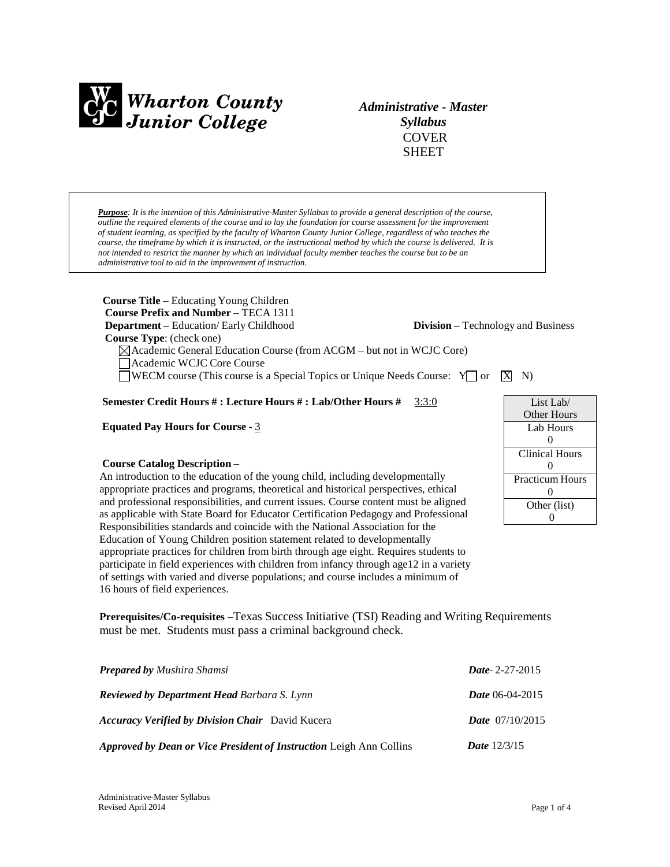

*Administrative - Master Syllabus* COVER **SHEET** 

*Purpose: It is the intention of this Administrative-Master Syllabus to provide a general description of the course, outline the required elements of the course and to lay the foundation for course assessment for the improvement of student learning, as specified by the faculty of Wharton County Junior College, regardless of who teaches the course, the timeframe by which it is instructed, or the instructional method by which the course is delivered. It is not intended to restrict the manner by which an individual faculty member teaches the course but to be an administrative tool to aid in the improvement of instruction.*

**Course Title** – Educating Young Children **Course Prefix and Number** – TECA 1311 **Department** – Education/ Early Childhood **Division** – Technology and Business **Course Type**: (check one) Academic General Education Course (from ACGM – but not in WCJC Core) Academic WCJC Core Course  $\Box$ WECM course (This course is a Special Topics or Unique Needs Course:  $\angle Y \Box$  or  $\Box X \land Y$ )

#### **Semester Credit Hours # : Lecture Hours # : Lab/Other Hours #** 3:3:0

**Equated Pay Hours for Course** - 3

#### **Course Catalog Description** –

An introduction to the education of the young child, including developmentally appropriate practices and programs, theoretical and historical perspectives, ethical and professional responsibilities, and current issues. Course content must be aligned as applicable with State Board for Educator Certification Pedagogy and Professional Responsibilities standards and coincide with the National Association for the Education of Young Children position statement related to developmentally appropriate practices for children from birth through age eight. Requires students to participate in field experiences with children from infancy through age12 in a variety of settings with varied and diverse populations; and course includes a minimum of 16 hours of field experiences.

List Lab/ Other Hours Lab Hours  $\Omega$ Clinical Hours 0 Practicum Hours 0 Other (list) 0

**Prerequisites/Co-requisites** –Texas Success Initiative (TSI) Reading and Writing Requirements must be met. Students must pass a criminal background check.

| <b>Prepared by Mushira Shamsi</b>                                          | <i>Date</i> -2-27-2015   |
|----------------------------------------------------------------------------|--------------------------|
| <b>Reviewed by Department Head Barbara S. Lynn</b>                         | <i>Date</i> 06-04-2015   |
| <b>Accuracy Verified by Division Chair</b> David Kucera                    | <b>Date</b> $07/10/2015$ |
| <b>Approved by Dean or Vice President of Instruction Leigh Ann Collins</b> | <b>Date</b> $12/3/15$    |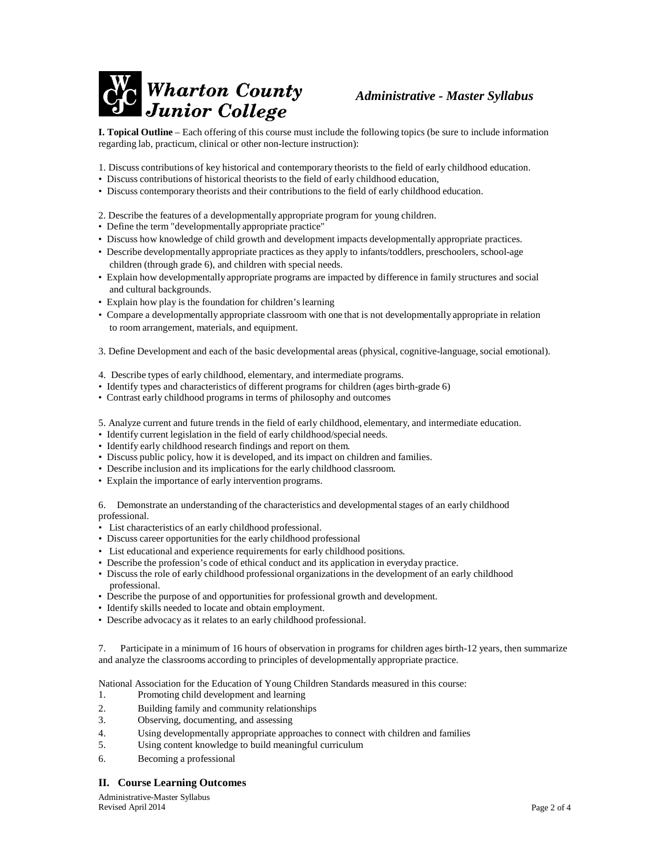

# *Administrative - Master Syllabus*

**I. Topical Outline** – Each offering of this course must include the following topics (be sure to include information regarding lab, practicum, clinical or other non-lecture instruction):

- 1. Discuss contributions of key historical and contemporary theorists to the field of early childhood education.
- Discuss contributions of historical theorists to the field of early childhood education,
- Discuss contemporary theorists and their contributions to the field of early childhood education.
- 2. Describe the features of a developmentally appropriate program for young children.
- Define the term "developmentally appropriate practice"
- Discuss how knowledge of child growth and development impacts developmentally appropriate practices.
- Describe developmentally appropriate practices as they apply to infants/toddlers, preschoolers, school-age children (through grade 6), and children with special needs.
- Explain how developmentally appropriate programs are impacted by difference in family structures and social and cultural backgrounds.
- Explain how play is the foundation for children's learning
- Compare a developmentally appropriate classroom with one that is not developmentally appropriate in relation to room arrangement, materials, and equipment.

3. Define Development and each of the basic developmental areas (physical, cognitive-language, social emotional).

- 4. Describe types of early childhood, elementary, and intermediate programs.
- Identify types and characteristics of different programs for children (ages birth-grade 6)
- Contrast early childhood programs in terms of philosophy and outcomes
- 5. Analyze current and future trends in the field of early childhood, elementary, and intermediate education.
- Identify current legislation in the field of early childhood/special needs.
- Identify early childhood research findings and report on them.
- Discuss public policy, how it is developed, and its impact on children and families.
- Describe inclusion and its implications for the early childhood classroom.
- Explain the importance of early intervention programs.

6. Demonstrate an understanding of the characteristics and developmentalstages of an early childhood professional.

- List characteristics of an early childhood professional.
- Discuss career opportunities for the early childhood professional
- List educational and experience requirements for early childhood positions.
- Describe the profession's code of ethical conduct and its application in everyday practice.
- Discuss the role of early childhood professional organizationsin the development of an early childhood professional.
- Describe the purpose of and opportunities for professional growth and development.
- Identify skills needed to locate and obtain employment.
- Describe advocacy as it relates to an early childhood professional.
- 7. Participate in a minimum of 16 hours of observation in programs for children ages birth-12 years, then summarize and analyze the classrooms according to principles of developmentally appropriate practice.

National Association for the Education of Young Children Standards measured in this course:

- 1. Promoting child development and learning
- 2. Building family and community relationships
- 3. Observing, documenting, and assessing
- 4. Using developmentally appropriate approaches to connect with children and families
- 5. Using content knowledge to build meaningful curriculum
- 6. Becoming a professional

#### **II. Course Learning Outcomes**

Administrative-Master Syllabus Revised April 2014 Page 2 of 4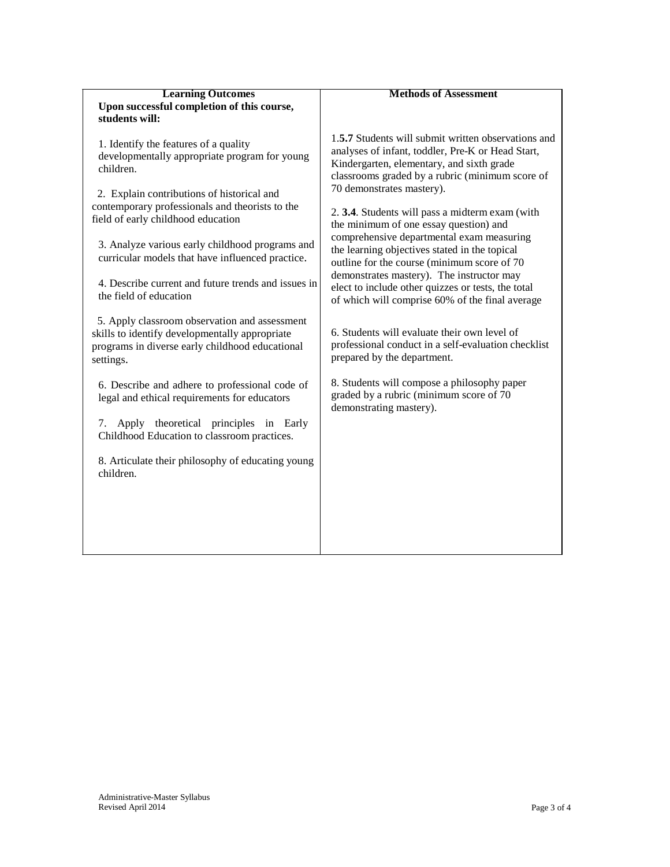| <b>Learning Outcomes</b>                   |
|--------------------------------------------|
| Upon successful completion of this course, |
| students will:                             |

1. Identify the features of a quality developmentally appropriate program for young children.

 2. Explain contributions of historical and contemporary professionals and theorists to the field of early childhood education

3. Analyze various early childhood programs and curricular models that have influenced practice.

4. Describe current and future trends and issues in the field of education

 5. Apply classroom observation and assessment skills to identify developmentally appropriate programs in diverse early childhood educational settings.

6. Describe and adhere to professional code of legal and ethical requirements for educators

7. Apply theoretical principles in Early Childhood Education to classroom practices.

8. Articulate their philosophy of educating young children.

# **Methods of Assessment**

1.**5.7** Students will submit written observations and analyses of infant, toddler, Pre-K or Head Start, Kindergarten, elementary, and sixth grade classrooms graded by a rubric (minimum score of 70 demonstrates mastery).

2. **3.4**. Students will pass a midterm exam (with the minimum of one essay question) and comprehensive departmental exam measuring the learning objectives stated in the topical outline for the course (minimum score of 70 demonstrates mastery). The instructor may elect to include other quizzes or tests, the total of which will comprise 60% of the final average

6. Students will evaluate their own level of professional conduct in a self-evaluation checklist prepared by the department.

8. Students will compose a philosophy paper graded by a rubric (minimum score of 70 demonstrating mastery).